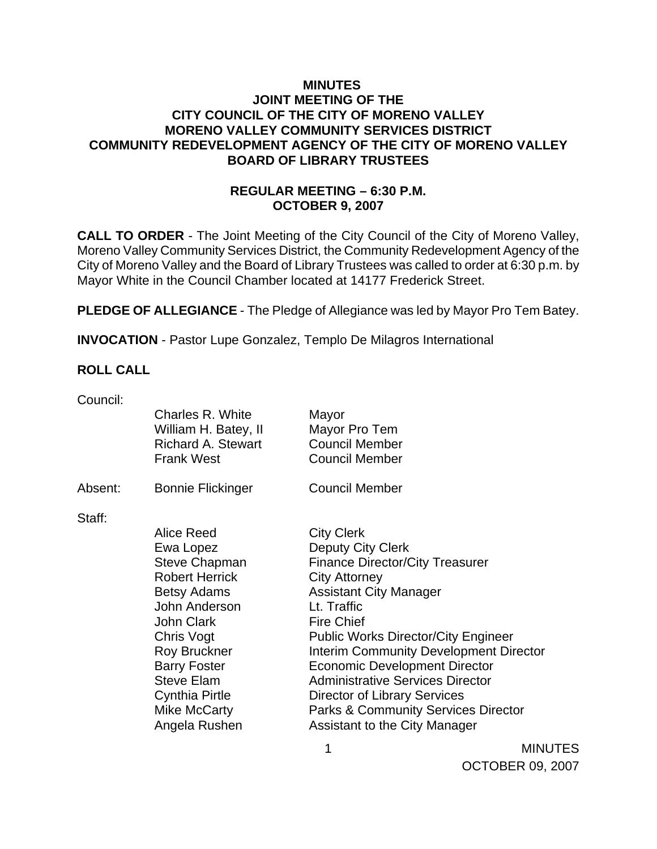### **MINUTES JOINT MEETING OF THE CITY COUNCIL OF THE CITY OF MORENO VALLEY MORENO VALLEY COMMUNITY SERVICES DISTRICT COMMUNITY REDEVELOPMENT AGENCY OF THE CITY OF MORENO VALLEY BOARD OF LIBRARY TRUSTEES**

## **REGULAR MEETING – 6:30 P.M. OCTOBER 9, 2007**

**CALL TO ORDER** - The Joint Meeting of the City Council of the City of Moreno Valley, Moreno Valley Community Services District, the Community Redevelopment Agency of the City of Moreno Valley and the Board of Library Trustees was called to order at 6:30 p.m. by Mayor White in the Council Chamber located at 14177 Frederick Street.

**PLEDGE OF ALLEGIANCE** - The Pledge of Allegiance was led by Mayor Pro Tem Batey.

**INVOCATION** - Pastor Lupe Gonzalez, Templo De Milagros International

### **ROLL CALL**

Council:

|         | Charles R. White<br>William H. Batey, II<br><b>Richard A. Stewart</b><br><b>Frank West</b>                                                                                                                                                                               | Mayor<br>Mayor Pro Tem<br><b>Council Member</b><br><b>Council Member</b>                                                                                                                                                                                                                                                                                                                                                                                                                  |
|---------|--------------------------------------------------------------------------------------------------------------------------------------------------------------------------------------------------------------------------------------------------------------------------|-------------------------------------------------------------------------------------------------------------------------------------------------------------------------------------------------------------------------------------------------------------------------------------------------------------------------------------------------------------------------------------------------------------------------------------------------------------------------------------------|
| Absent: | <b>Bonnie Flickinger</b>                                                                                                                                                                                                                                                 | <b>Council Member</b>                                                                                                                                                                                                                                                                                                                                                                                                                                                                     |
| Staff:  | Alice Reed<br>Ewa Lopez<br><b>Steve Chapman</b><br><b>Robert Herrick</b><br><b>Betsy Adams</b><br>John Anderson<br><b>John Clark</b><br>Chris Vogt<br><b>Roy Bruckner</b><br><b>Barry Foster</b><br><b>Steve Elam</b><br>Cynthia Pirtle<br>Mike McCarty<br>Angela Rushen | <b>City Clerk</b><br>Deputy City Clerk<br><b>Finance Director/City Treasurer</b><br><b>City Attorney</b><br><b>Assistant City Manager</b><br>Lt. Traffic<br><b>Fire Chief</b><br><b>Public Works Director/City Engineer</b><br><b>Interim Community Development Director</b><br><b>Economic Development Director</b><br><b>Administrative Services Director</b><br><b>Director of Library Services</b><br><b>Parks &amp; Community Services Director</b><br>Assistant to the City Manager |

1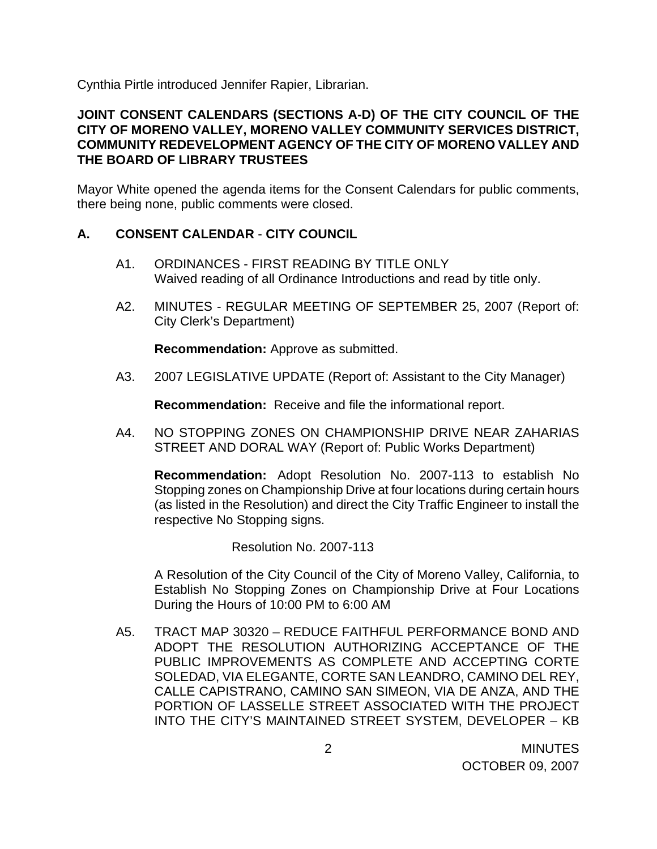Cynthia Pirtle introduced Jennifer Rapier, Librarian.

### **JOINT CONSENT CALENDARS (SECTIONS A-D) OF THE CITY COUNCIL OF THE CITY OF MORENO VALLEY, MORENO VALLEY COMMUNITY SERVICES DISTRICT, COMMUNITY REDEVELOPMENT AGENCY OF THE CITY OF MORENO VALLEY AND THE BOARD OF LIBRARY TRUSTEES**

Mayor White opened the agenda items for the Consent Calendars for public comments, there being none, public comments were closed.

### **A. CONSENT CALENDAR** - **CITY COUNCIL**

- A1. ORDINANCES FIRST READING BY TITLE ONLY Waived reading of all Ordinance Introductions and read by title only.
- A2. MINUTES REGULAR MEETING OF SEPTEMBER 25, 2007 (Report of: City Clerk's Department)

**Recommendation:** Approve as submitted.

A3. 2007 LEGISLATIVE UPDATE (Report of: Assistant to the City Manager)

**Recommendation:** Receive and file the informational report.

A4. NO STOPPING ZONES ON CHAMPIONSHIP DRIVE NEAR ZAHARIAS STREET AND DORAL WAY (Report of: Public Works Department)

**Recommendation:** Adopt Resolution No. 2007-113 to establish No Stopping zones on Championship Drive at four locations during certain hours (as listed in the Resolution) and direct the City Traffic Engineer to install the respective No Stopping signs.

Resolution No. 2007-113

 A Resolution of the City Council of the City of Moreno Valley, California, to Establish No Stopping Zones on Championship Drive at Four Locations During the Hours of 10:00 PM to 6:00 AM

A5. TRACT MAP 30320 – REDUCE FAITHFUL PERFORMANCE BOND AND ADOPT THE RESOLUTION AUTHORIZING ACCEPTANCE OF THE PUBLIC IMPROVEMENTS AS COMPLETE AND ACCEPTING CORTE SOLEDAD, VIA ELEGANTE, CORTE SAN LEANDRO, CAMINO DEL REY, CALLE CAPISTRANO, CAMINO SAN SIMEON, VIA DE ANZA, AND THE PORTION OF LASSELLE STREET ASSOCIATED WITH THE PROJECT INTO THE CITY'S MAINTAINED STREET SYSTEM, DEVELOPER – KB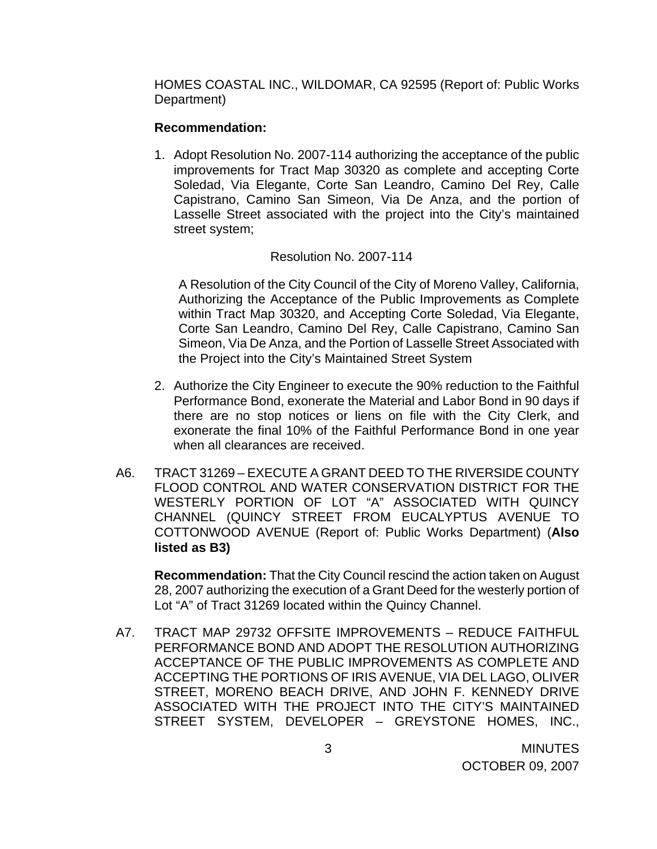HOMES COASTAL INC., WILDOMAR, CA 92595 (Report of: Public Works Department)

#### **Recommendation:**

1. Adopt Resolution No. 2007-114 authorizing the acceptance of the public improvements for Tract Map 30320 as complete and accepting Corte Soledad, Via Elegante, Corte San Leandro, Camino Del Rey, Calle Capistrano, Camino San Simeon, Via De Anza, and the portion of Lasselle Street associated with the project into the City's maintained street system;

#### Resolution No. 2007-114

A Resolution of the City Council of the City of Moreno Valley, California, Authorizing the Acceptance of the Public Improvements as Complete within Tract Map 30320, and Accepting Corte Soledad, Via Elegante, Corte San Leandro, Camino Del Rey, Calle Capistrano, Camino San Simeon, Via De Anza, and the Portion of Lasselle Street Associated with the Project into the City's Maintained Street System

- 2. Authorize the City Engineer to execute the 90% reduction to the Faithful Performance Bond, exonerate the Material and Labor Bond in 90 days if there are no stop notices or liens on file with the City Clerk, and exonerate the final 10% of the Faithful Performance Bond in one year when all clearances are received.
- A6. TRACT 31269 EXECUTE A GRANT DEED TO THE RIVERSIDE COUNTY FLOOD CONTROL AND WATER CONSERVATION DISTRICT FOR THE WESTERLY PORTION OF LOT "A" ASSOCIATED WITH QUINCY CHANNEL (QUINCY STREET FROM EUCALYPTUS AVENUE TO COTTONWOOD AVENUE (Report of: Public Works Department) (**Also listed as B3)**

**Recommendation:** That the City Council rescind the action taken on August 28, 2007 authorizing the execution of a Grant Deed for the westerly portion of Lot "A" of Tract 31269 located within the Quincy Channel.

A7. TRACT MAP 29732 OFFSITE IMPROVEMENTS – REDUCE FAITHFUL PERFORMANCE BOND AND ADOPT THE RESOLUTION AUTHORIZING ACCEPTANCE OF THE PUBLIC IMPROVEMENTS AS COMPLETE AND ACCEPTING THE PORTIONS OF IRIS AVENUE, VIA DEL LAGO, OLIVER STREET, MORENO BEACH DRIVE, AND JOHN F. KENNEDY DRIVE ASSOCIATED WITH THE PROJECT INTO THE CITY'S MAINTAINED STREET SYSTEM, DEVELOPER – GREYSTONE HOMES, INC.,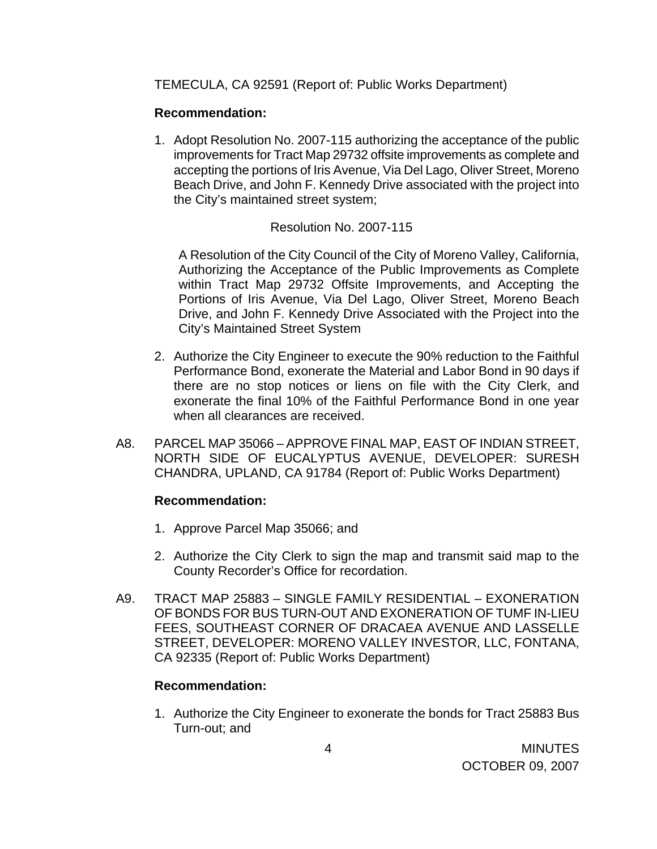TEMECULA, CA 92591 (Report of: Public Works Department)

## **Recommendation:**

1. Adopt Resolution No. 2007-115 authorizing the acceptance of the public improvements for Tract Map 29732 offsite improvements as complete and accepting the portions of Iris Avenue, Via Del Lago, Oliver Street, Moreno Beach Drive, and John F. Kennedy Drive associated with the project into the City's maintained street system;

## Resolution No. 2007-115

A Resolution of the City Council of the City of Moreno Valley, California, Authorizing the Acceptance of the Public Improvements as Complete within Tract Map 29732 Offsite Improvements, and Accepting the Portions of Iris Avenue, Via Del Lago, Oliver Street, Moreno Beach Drive, and John F. Kennedy Drive Associated with the Project into the City's Maintained Street System

- 2. Authorize the City Engineer to execute the 90% reduction to the Faithful Performance Bond, exonerate the Material and Labor Bond in 90 days if there are no stop notices or liens on file with the City Clerk, and exonerate the final 10% of the Faithful Performance Bond in one year when all clearances are received.
- A8. PARCEL MAP 35066 APPROVE FINAL MAP, EAST OF INDIAN STREET, NORTH SIDE OF EUCALYPTUS AVENUE, DEVELOPER: SURESH CHANDRA, UPLAND, CA 91784 (Report of: Public Works Department)

#### **Recommendation:**

- 1. Approve Parcel Map 35066; and
- 2. Authorize the City Clerk to sign the map and transmit said map to the County Recorder's Office for recordation.
- A9. TRACT MAP 25883 SINGLE FAMILY RESIDENTIAL EXONERATION OF BONDS FOR BUS TURN-OUT AND EXONERATION OF TUMF IN-LIEU FEES, SOUTHEAST CORNER OF DRACAEA AVENUE AND LASSELLE STREET, DEVELOPER: MORENO VALLEY INVESTOR, LLC, FONTANA, CA 92335 (Report of: Public Works Department)

## **Recommendation:**

1. Authorize the City Engineer to exonerate the bonds for Tract 25883 Bus Turn-out; and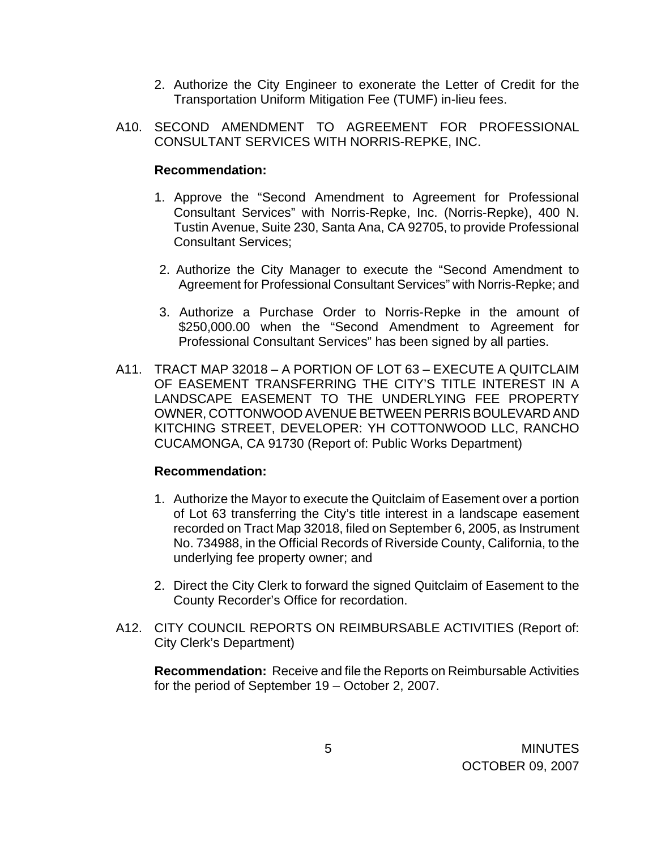- 2. Authorize the City Engineer to exonerate the Letter of Credit for the Transportation Uniform Mitigation Fee (TUMF) in-lieu fees.
- A10. SECOND AMENDMENT TO AGREEMENT FOR PROFESSIONAL CONSULTANT SERVICES WITH NORRIS-REPKE, INC.

### **Recommendation:**

- 1. Approve the "Second Amendment to Agreement for Professional Consultant Services" with Norris-Repke, Inc. (Norris-Repke), 400 N. Tustin Avenue, Suite 230, Santa Ana, CA 92705, to provide Professional Consultant Services;
- 2. Authorize the City Manager to execute the "Second Amendment to Agreement for Professional Consultant Services" with Norris-Repke; and
- 3. Authorize a Purchase Order to Norris-Repke in the amount of \$250,000.00 when the "Second Amendment to Agreement for Professional Consultant Services" has been signed by all parties.
- A11. TRACT MAP 32018 A PORTION OF LOT 63 EXECUTE A QUITCLAIM OF EASEMENT TRANSFERRING THE CITY'S TITLE INTEREST IN A LANDSCAPE EASEMENT TO THE UNDERLYING FEE PROPERTY OWNER, COTTONWOOD AVENUE BETWEEN PERRIS BOULEVARD AND KITCHING STREET, DEVELOPER: YH COTTONWOOD LLC, RANCHO CUCAMONGA, CA 91730 (Report of: Public Works Department)

#### **Recommendation:**

- 1. Authorize the Mayor to execute the Quitclaim of Easement over a portion of Lot 63 transferring the City's title interest in a landscape easement recorded on Tract Map 32018, filed on September 6, 2005, as Instrument No. 734988, in the Official Records of Riverside County, California, to the underlying fee property owner; and
- 2. Direct the City Clerk to forward the signed Quitclaim of Easement to the County Recorder's Office for recordation.
- A12. CITY COUNCIL REPORTS ON REIMBURSABLE ACTIVITIES (Report of: City Clerk's Department)

 **Recommendation:** Receive and file the Reports on Reimbursable Activities for the period of September 19 – October 2, 2007.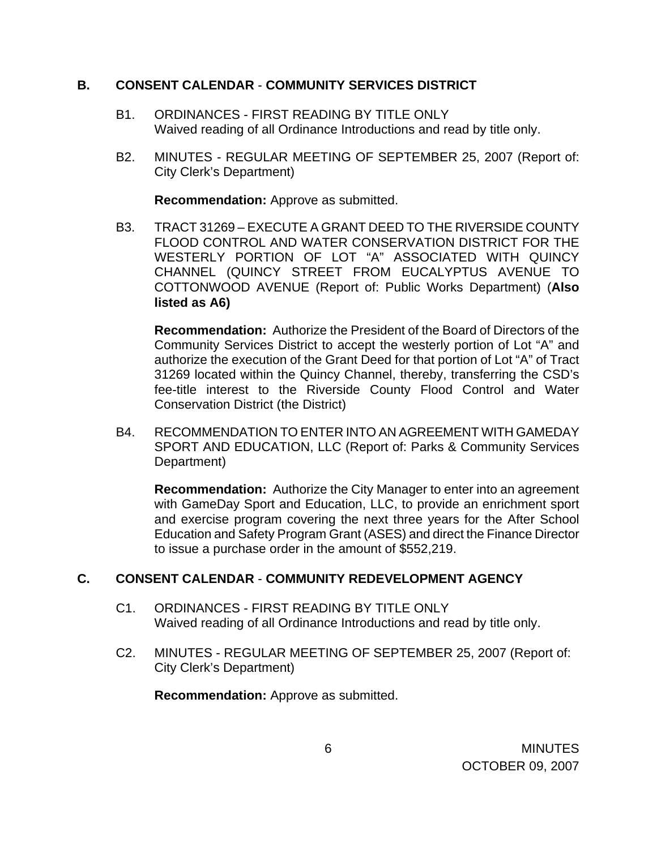### **B. CONSENT CALENDAR** - **COMMUNITY SERVICES DISTRICT**

- B1. ORDINANCES FIRST READING BY TITLE ONLY Waived reading of all Ordinance Introductions and read by title only.
- B2. MINUTES REGULAR MEETING OF SEPTEMBER 25, 2007 (Report of: City Clerk's Department)

**Recommendation:** Approve as submitted.

B3. TRACT 31269 – EXECUTE A GRANT DEED TO THE RIVERSIDE COUNTY FLOOD CONTROL AND WATER CONSERVATION DISTRICT FOR THE WESTERLY PORTION OF LOT "A" ASSOCIATED WITH QUINCY CHANNEL (QUINCY STREET FROM EUCALYPTUS AVENUE TO COTTONWOOD AVENUE (Report of: Public Works Department) (**Also listed as A6)**

**Recommendation:** Authorize the President of the Board of Directors of the Community Services District to accept the westerly portion of Lot "A" and authorize the execution of the Grant Deed for that portion of Lot "A" of Tract 31269 located within the Quincy Channel, thereby, transferring the CSD's fee-title interest to the Riverside County Flood Control and Water Conservation District (the District)

B4. RECOMMENDATION TO ENTER INTO AN AGREEMENT WITH GAMEDAY SPORT AND EDUCATION, LLC (Report of: Parks & Community Services Department)

**Recommendation:** Authorize the City Manager to enter into an agreement with GameDay Sport and Education, LLC, to provide an enrichment sport and exercise program covering the next three years for the After School Education and Safety Program Grant (ASES) and direct the Finance Director to issue a purchase order in the amount of \$552,219.

# **C. CONSENT CALENDAR** - **COMMUNITY REDEVELOPMENT AGENCY**

- C1. ORDINANCES FIRST READING BY TITLE ONLY Waived reading of all Ordinance Introductions and read by title only.
- C2. MINUTES REGULAR MEETING OF SEPTEMBER 25, 2007 (Report of: City Clerk's Department)

**Recommendation:** Approve as submitted.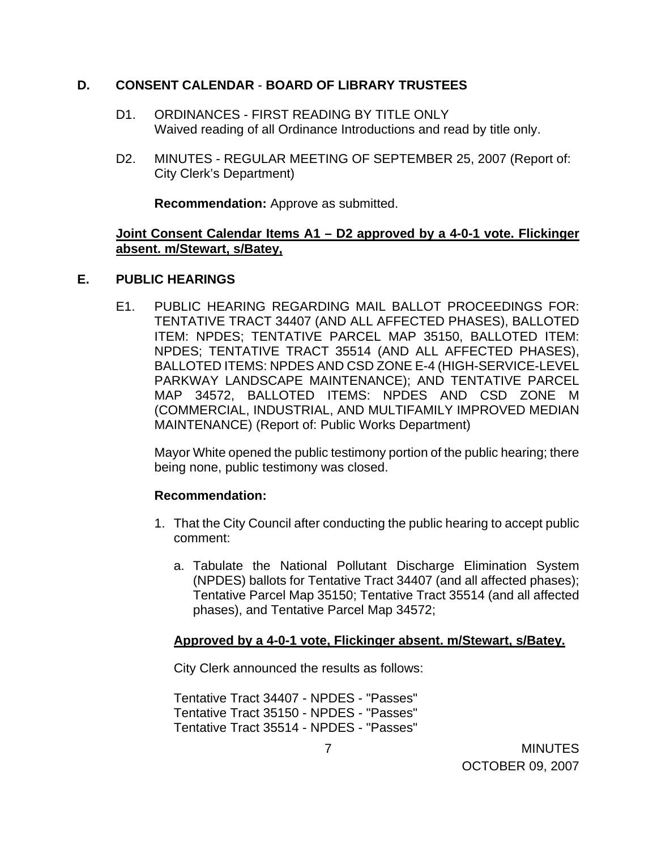### **D. CONSENT CALENDAR** - **BOARD OF LIBRARY TRUSTEES**

- D1. ORDINANCES FIRST READING BY TITLE ONLY Waived reading of all Ordinance Introductions and read by title only.
- D2. MINUTES REGULAR MEETING OF SEPTEMBER 25, 2007 (Report of: City Clerk's Department)

**Recommendation:** Approve as submitted.

### **Joint Consent Calendar Items A1 – D2 approved by a 4-0-1 vote. Flickinger absent. m/Stewart, s/Batey,**

#### **E. PUBLIC HEARINGS**

E1. PUBLIC HEARING REGARDING MAIL BALLOT PROCEEDINGS FOR: TENTATIVE TRACT 34407 (AND ALL AFFECTED PHASES), BALLOTED ITEM: NPDES; TENTATIVE PARCEL MAP 35150, BALLOTED ITEM: NPDES; TENTATIVE TRACT 35514 (AND ALL AFFECTED PHASES), BALLOTED ITEMS: NPDES AND CSD ZONE E-4 (HIGH-SERVICE-LEVEL PARKWAY LANDSCAPE MAINTENANCE); AND TENTATIVE PARCEL MAP 34572, BALLOTED ITEMS: NPDES AND CSD ZONE M (COMMERCIAL, INDUSTRIAL, AND MULTIFAMILY IMPROVED MEDIAN MAINTENANCE) (Report of: Public Works Department)

 Mayor White opened the public testimony portion of the public hearing; there being none, public testimony was closed.

#### **Recommendation:**

- 1. That the City Council after conducting the public hearing to accept public comment:
	- a. Tabulate the National Pollutant Discharge Elimination System (NPDES) ballots for Tentative Tract 34407 (and all affected phases); Tentative Parcel Map 35150; Tentative Tract 35514 (and all affected phases), and Tentative Parcel Map 34572;

#### **Approved by a 4-0-1 vote, Flickinger absent. m/Stewart, s/Batey.**

City Clerk announced the results as follows:

Tentative Tract 34407 - NPDES - "Passes" Tentative Tract 35150 - NPDES - "Passes" Tentative Tract 35514 - NPDES - "Passes"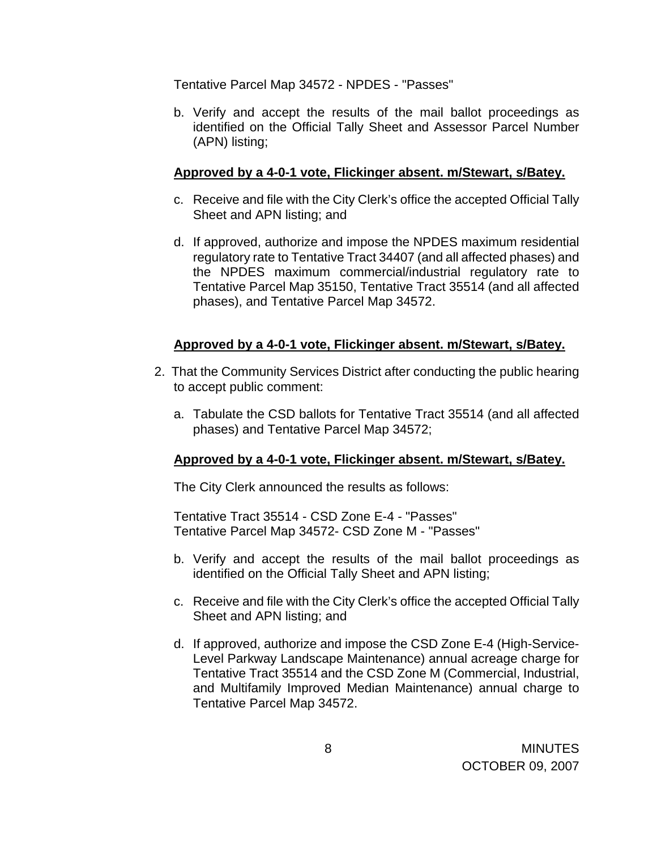Tentative Parcel Map 34572 - NPDES - "Passes"

b. Verify and accept the results of the mail ballot proceedings as identified on the Official Tally Sheet and Assessor Parcel Number (APN) listing;

## **Approved by a 4-0-1 vote, Flickinger absent. m/Stewart, s/Batey.**

- c. Receive and file with the City Clerk's office the accepted Official Tally Sheet and APN listing; and
- d. If approved, authorize and impose the NPDES maximum residential regulatory rate to Tentative Tract 34407 (and all affected phases) and the NPDES maximum commercial/industrial regulatory rate to Tentative Parcel Map 35150, Tentative Tract 35514 (and all affected phases), and Tentative Parcel Map 34572.

### **Approved by a 4-0-1 vote, Flickinger absent. m/Stewart, s/Batey.**

- 2. That the Community Services District after conducting the public hearing to accept public comment:
	- a. Tabulate the CSD ballots for Tentative Tract 35514 (and all affected phases) and Tentative Parcel Map 34572;

#### **Approved by a 4-0-1 vote, Flickinger absent. m/Stewart, s/Batey.**

The City Clerk announced the results as follows:

Tentative Tract 35514 - CSD Zone E-4 - "Passes" Tentative Parcel Map 34572- CSD Zone M - "Passes"

- b. Verify and accept the results of the mail ballot proceedings as identified on the Official Tally Sheet and APN listing;
- c. Receive and file with the City Clerk's office the accepted Official Tally Sheet and APN listing; and
- d. If approved, authorize and impose the CSD Zone E-4 (High-Service-Level Parkway Landscape Maintenance) annual acreage charge for Tentative Tract 35514 and the CSD Zone M (Commercial, Industrial, and Multifamily Improved Median Maintenance) annual charge to Tentative Parcel Map 34572.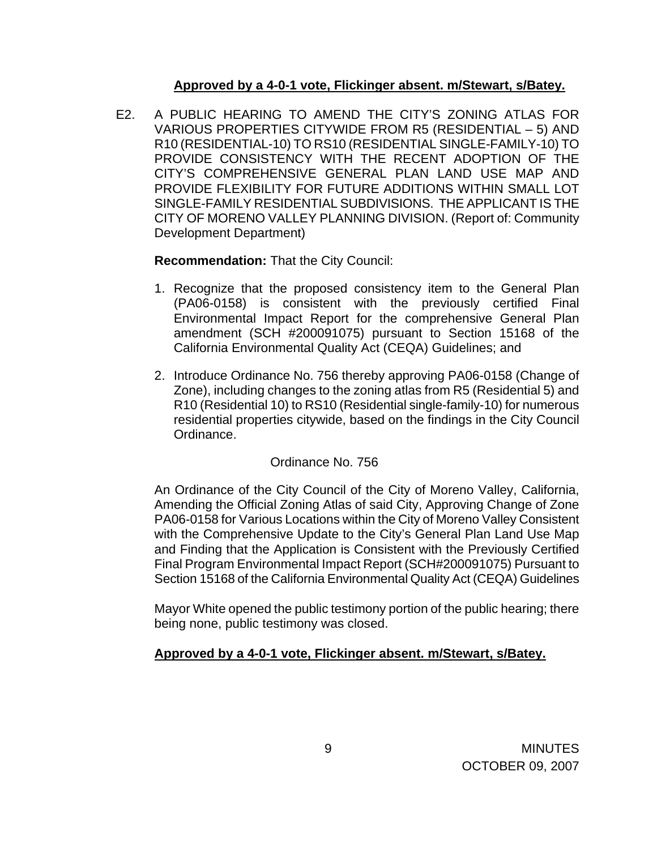### **Approved by a 4-0-1 vote, Flickinger absent. m/Stewart, s/Batey.**

E2. A PUBLIC HEARING TO AMEND THE CITY'S ZONING ATLAS FOR VARIOUS PROPERTIES CITYWIDE FROM R5 (RESIDENTIAL – 5) AND R10 (RESIDENTIAL-10) TO RS10 (RESIDENTIAL SINGLE-FAMILY-10) TO PROVIDE CONSISTENCY WITH THE RECENT ADOPTION OF THE CITY'S COMPREHENSIVE GENERAL PLAN LAND USE MAP AND PROVIDE FLEXIBILITY FOR FUTURE ADDITIONS WITHIN SMALL LOT SINGLE-FAMILY RESIDENTIAL SUBDIVISIONS. THE APPLICANT IS THE CITY OF MORENO VALLEY PLANNING DIVISION. (Report of: Community Development Department)

# **Recommendation:** That the City Council:

- 1. Recognize that the proposed consistency item to the General Plan (PA06-0158) is consistent with the previously certified Final Environmental Impact Report for the comprehensive General Plan amendment (SCH #200091075) pursuant to Section 15168 of the California Environmental Quality Act (CEQA) Guidelines; and
- 2. Introduce Ordinance No. 756 thereby approving PA06-0158 (Change of Zone), including changes to the zoning atlas from R5 (Residential 5) and R10 (Residential 10) to RS10 (Residential single-family-10) for numerous residential properties citywide, based on the findings in the City Council Ordinance.

## Ordinance No. 756

 An Ordinance of the City Council of the City of Moreno Valley, California, Amending the Official Zoning Atlas of said City, Approving Change of Zone PA06-0158 for Various Locations within the City of Moreno Valley Consistent with the Comprehensive Update to the City's General Plan Land Use Map and Finding that the Application is Consistent with the Previously Certified Final Program Environmental Impact Report (SCH#200091075) Pursuant to Section 15168 of the California Environmental Quality Act (CEQA) Guidelines

Mayor White opened the public testimony portion of the public hearing; there being none, public testimony was closed.

# **Approved by a 4-0-1 vote, Flickinger absent. m/Stewart, s/Batey.**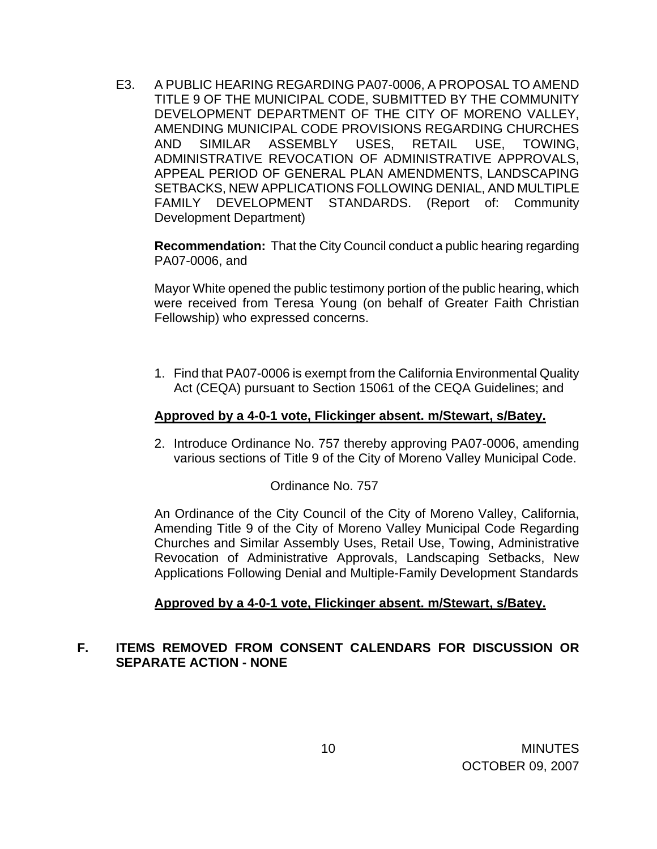E3. A PUBLIC HEARING REGARDING PA07-0006, A PROPOSAL TO AMEND TITLE 9 OF THE MUNICIPAL CODE, SUBMITTED BY THE COMMUNITY DEVELOPMENT DEPARTMENT OF THE CITY OF MORENO VALLEY, AMENDING MUNICIPAL CODE PROVISIONS REGARDING CHURCHES AND SIMILAR ASSEMBLY USES, RETAIL USE, TOWING, ADMINISTRATIVE REVOCATION OF ADMINISTRATIVE APPROVALS, APPEAL PERIOD OF GENERAL PLAN AMENDMENTS, LANDSCAPING SETBACKS, NEW APPLICATIONS FOLLOWING DENIAL, AND MULTIPLE FAMILY DEVELOPMENT STANDARDS. (Report of: Community Development Department)

**Recommendation:** That the City Council conduct a public hearing regarding PA07-0006, and

Mayor White opened the public testimony portion of the public hearing, which were received from Teresa Young (on behalf of Greater Faith Christian Fellowship) who expressed concerns.

1. Find that PA07-0006 is exempt from the California Environmental Quality Act (CEQA) pursuant to Section 15061 of the CEQA Guidelines; and

#### **Approved by a 4-0-1 vote, Flickinger absent. m/Stewart, s/Batey.**

2. Introduce Ordinance No. 757 thereby approving PA07-0006, amending various sections of Title 9 of the City of Moreno Valley Municipal Code.

## Ordinance No. 757

 An Ordinance of the City Council of the City of Moreno Valley, California, Amending Title 9 of the City of Moreno Valley Municipal Code Regarding Churches and Similar Assembly Uses, Retail Use, Towing, Administrative Revocation of Administrative Approvals, Landscaping Setbacks, New Applications Following Denial and Multiple-Family Development Standards

#### **Approved by a 4-0-1 vote, Flickinger absent. m/Stewart, s/Batey.**

## **F. ITEMS REMOVED FROM CONSENT CALENDARS FOR DISCUSSION OR SEPARATE ACTION - NONE**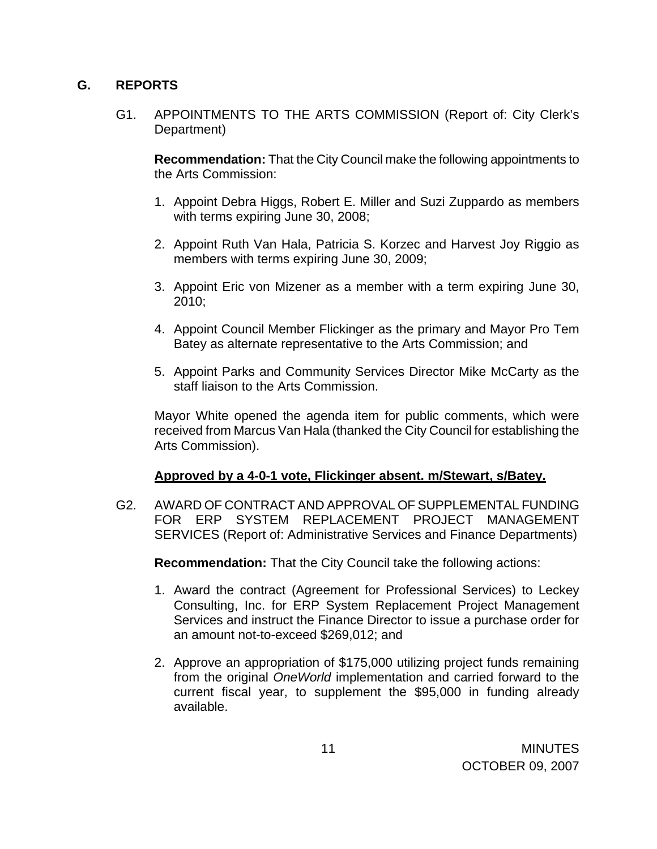### **G. REPORTS**

G1. APPOINTMENTS TO THE ARTS COMMISSION (Report of: City Clerk's Department)

**Recommendation:** That the City Council make the following appointments to the Arts Commission:

- 1. Appoint Debra Higgs, Robert E. Miller and Suzi Zuppardo as members with terms expiring June 30, 2008;
- 2. Appoint Ruth Van Hala, Patricia S. Korzec and Harvest Joy Riggio as members with terms expiring June 30, 2009;
- 3. Appoint Eric von Mizener as a member with a term expiring June 30, 2010;
- 4. Appoint Council Member Flickinger as the primary and Mayor Pro Tem Batey as alternate representative to the Arts Commission; and
- 5. Appoint Parks and Community Services Director Mike McCarty as the staff liaison to the Arts Commission.

Mayor White opened the agenda item for public comments, which were received from Marcus Van Hala (thanked the City Council for establishing the Arts Commission).

## **Approved by a 4-0-1 vote, Flickinger absent. m/Stewart, s/Batey.**

 G2. AWARD OF CONTRACT AND APPROVAL OF SUPPLEMENTAL FUNDING FOR ERP SYSTEM REPLACEMENT PROJECT MANAGEMENT SERVICES (Report of: Administrative Services and Finance Departments)

**Recommendation:** That the City Council take the following actions:

- 1. Award the contract (Agreement for Professional Services) to Leckey Consulting, Inc. for ERP System Replacement Project Management Services and instruct the Finance Director to issue a purchase order for an amount not-to-exceed \$269,012; and
- 2. Approve an appropriation of \$175,000 utilizing project funds remaining from the original *OneWorld* implementation and carried forward to the current fiscal year, to supplement the \$95,000 in funding already available.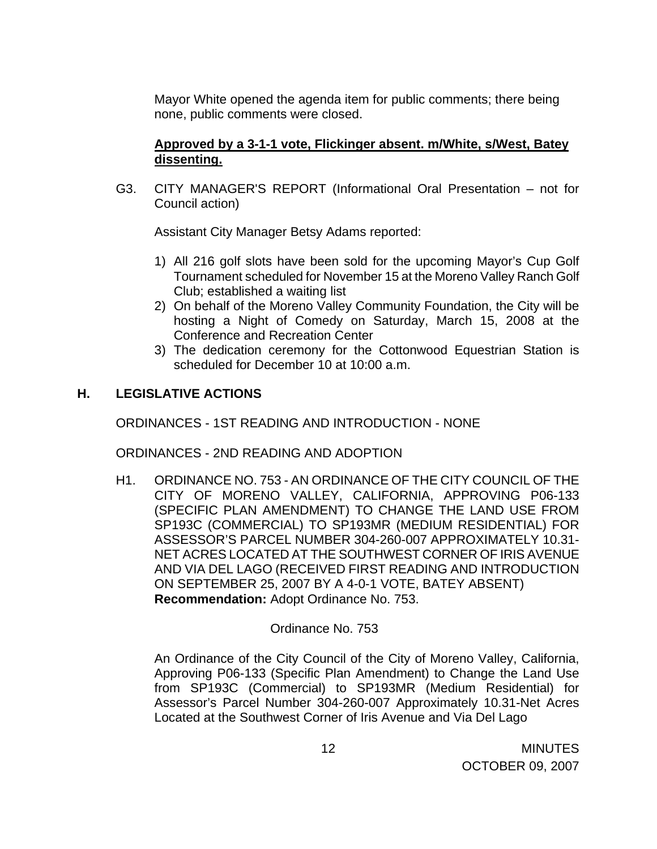Mayor White opened the agenda item for public comments; there being none, public comments were closed.

## **Approved by a 3-1-1 vote, Flickinger absent. m/White, s/West, Batey dissenting.**

G3. CITY MANAGER'S REPORT (Informational Oral Presentation – not for Council action)

Assistant City Manager Betsy Adams reported:

- 1) All 216 golf slots have been sold for the upcoming Mayor's Cup Golf Tournament scheduled for November 15 at the Moreno Valley Ranch Golf Club; established a waiting list
- 2) On behalf of the Moreno Valley Community Foundation, the City will be hosting a Night of Comedy on Saturday, March 15, 2008 at the Conference and Recreation Center
- 3) The dedication ceremony for the Cottonwood Equestrian Station is scheduled for December 10 at 10:00 a.m.

## **H. LEGISLATIVE ACTIONS**

ORDINANCES - 1ST READING AND INTRODUCTION - NONE

ORDINANCES - 2ND READING AND ADOPTION

H1. ORDINANCE NO. 753 - AN ORDINANCE OF THE CITY COUNCIL OF THE CITY OF MORENO VALLEY, CALIFORNIA, APPROVING P06-133 (SPECIFIC PLAN AMENDMENT) TO CHANGE THE LAND USE FROM SP193C (COMMERCIAL) TO SP193MR (MEDIUM RESIDENTIAL) FOR ASSESSOR'S PARCEL NUMBER 304-260-007 APPROXIMATELY 10.31- NET ACRES LOCATED AT THE SOUTHWEST CORNER OF IRIS AVENUE AND VIA DEL LAGO (RECEIVED FIRST READING AND INTRODUCTION ON SEPTEMBER 25, 2007 BY A 4-0-1 VOTE, BATEY ABSENT) **Recommendation:** Adopt Ordinance No. 753.

## Ordinance No. 753

An Ordinance of the City Council of the City of Moreno Valley, California, Approving P06-133 (Specific Plan Amendment) to Change the Land Use from SP193C (Commercial) to SP193MR (Medium Residential) for Assessor's Parcel Number 304-260-007 Approximately 10.31-Net Acres Located at the Southwest Corner of Iris Avenue and Via Del Lago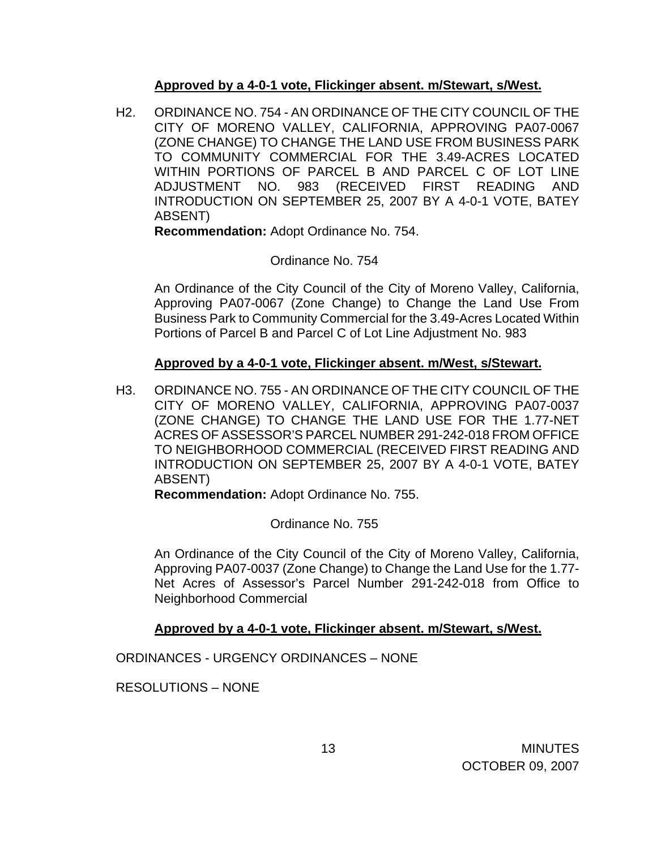### **Approved by a 4-0-1 vote, Flickinger absent. m/Stewart, s/West.**

H2. ORDINANCE NO. 754 - AN ORDINANCE OF THE CITY COUNCIL OF THE CITY OF MORENO VALLEY, CALIFORNIA, APPROVING PA07-0067 (ZONE CHANGE) TO CHANGE THE LAND USE FROM BUSINESS PARK TO COMMUNITY COMMERCIAL FOR THE 3.49-ACRES LOCATED WITHIN PORTIONS OF PARCEL B AND PARCEL C OF LOT LINE ADJUSTMENT NO. 983 (RECEIVED FIRST READING AND INTRODUCTION ON SEPTEMBER 25, 2007 BY A 4-0-1 VOTE, BATEY ABSENT)

**Recommendation:** Adopt Ordinance No. 754.

## Ordinance No. 754

An Ordinance of the City Council of the City of Moreno Valley, California, Approving PA07-0067 (Zone Change) to Change the Land Use From Business Park to Community Commercial for the 3.49-Acres Located Within Portions of Parcel B and Parcel C of Lot Line Adjustment No. 983

### **Approved by a 4-0-1 vote, Flickinger absent. m/West, s/Stewart.**

H3. ORDINANCE NO. 755 - AN ORDINANCE OF THE CITY COUNCIL OF THE CITY OF MORENO VALLEY, CALIFORNIA, APPROVING PA07-0037 (ZONE CHANGE) TO CHANGE THE LAND USE FOR THE 1.77-NET ACRES OF ASSESSOR'S PARCEL NUMBER 291-242-018 FROM OFFICE TO NEIGHBORHOOD COMMERCIAL (RECEIVED FIRST READING AND INTRODUCTION ON SEPTEMBER 25, 2007 BY A 4-0-1 VOTE, BATEY ABSENT)

**Recommendation:** Adopt Ordinance No. 755.

Ordinance No. 755

An Ordinance of the City Council of the City of Moreno Valley, California, Approving PA07-0037 (Zone Change) to Change the Land Use for the 1.77- Net Acres of Assessor's Parcel Number 291-242-018 from Office to Neighborhood Commercial

## **Approved by a 4-0-1 vote, Flickinger absent. m/Stewart, s/West.**

ORDINANCES - URGENCY ORDINANCES – NONE

RESOLUTIONS – NONE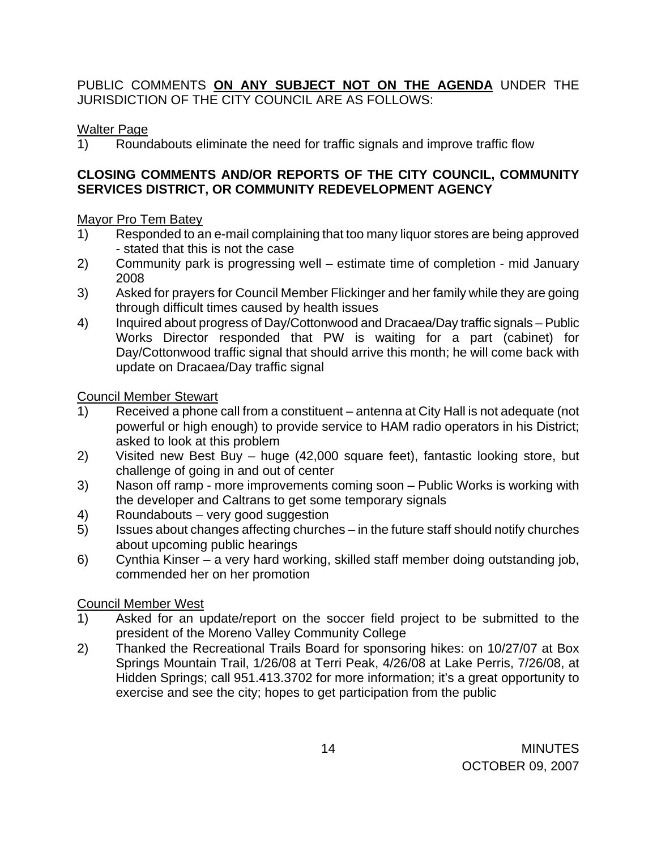PUBLIC COMMENTS **ON ANY SUBJECT NOT ON THE AGENDA** UNDER THE JURISDICTION OF THE CITY COUNCIL ARE AS FOLLOWS:

## Walter Page

1) Roundabouts eliminate the need for traffic signals and improve traffic flow

### **CLOSING COMMENTS AND/OR REPORTS OF THE CITY COUNCIL, COMMUNITY SERVICES DISTRICT, OR COMMUNITY REDEVELOPMENT AGENCY**

### Mayor Pro Tem Batey

- 1) Responded to an e-mail complaining that too many liquor stores are being approved - stated that this is not the case
- 2) Community park is progressing well estimate time of completion mid January 2008
- 3) Asked for prayers for Council Member Flickinger and her family while they are going through difficult times caused by health issues
- 4) Inquired about progress of Day/Cottonwood and Dracaea/Day traffic signals Public Works Director responded that PW is waiting for a part (cabinet) for Day/Cottonwood traffic signal that should arrive this month; he will come back with update on Dracaea/Day traffic signal

### Council Member Stewart

- 1) Received a phone call from a constituent antenna at City Hall is not adequate (not powerful or high enough) to provide service to HAM radio operators in his District; asked to look at this problem
- 2) Visited new Best Buy huge (42,000 square feet), fantastic looking store, but challenge of going in and out of center
- 3) Nason off ramp more improvements coming soon Public Works is working with the developer and Caltrans to get some temporary signals
- 4) Roundabouts very good suggestion
- 5) Issues about changes affecting churches in the future staff should notify churches about upcoming public hearings
- 6) Cynthia Kinser a very hard working, skilled staff member doing outstanding job, commended her on her promotion

## Council Member West

- 1) Asked for an update/report on the soccer field project to be submitted to the president of the Moreno Valley Community College
- 2) Thanked the Recreational Trails Board for sponsoring hikes: on 10/27/07 at Box Springs Mountain Trail, 1/26/08 at Terri Peak, 4/26/08 at Lake Perris, 7/26/08, at Hidden Springs; call 951.413.3702 for more information; it's a great opportunity to exercise and see the city; hopes to get participation from the public